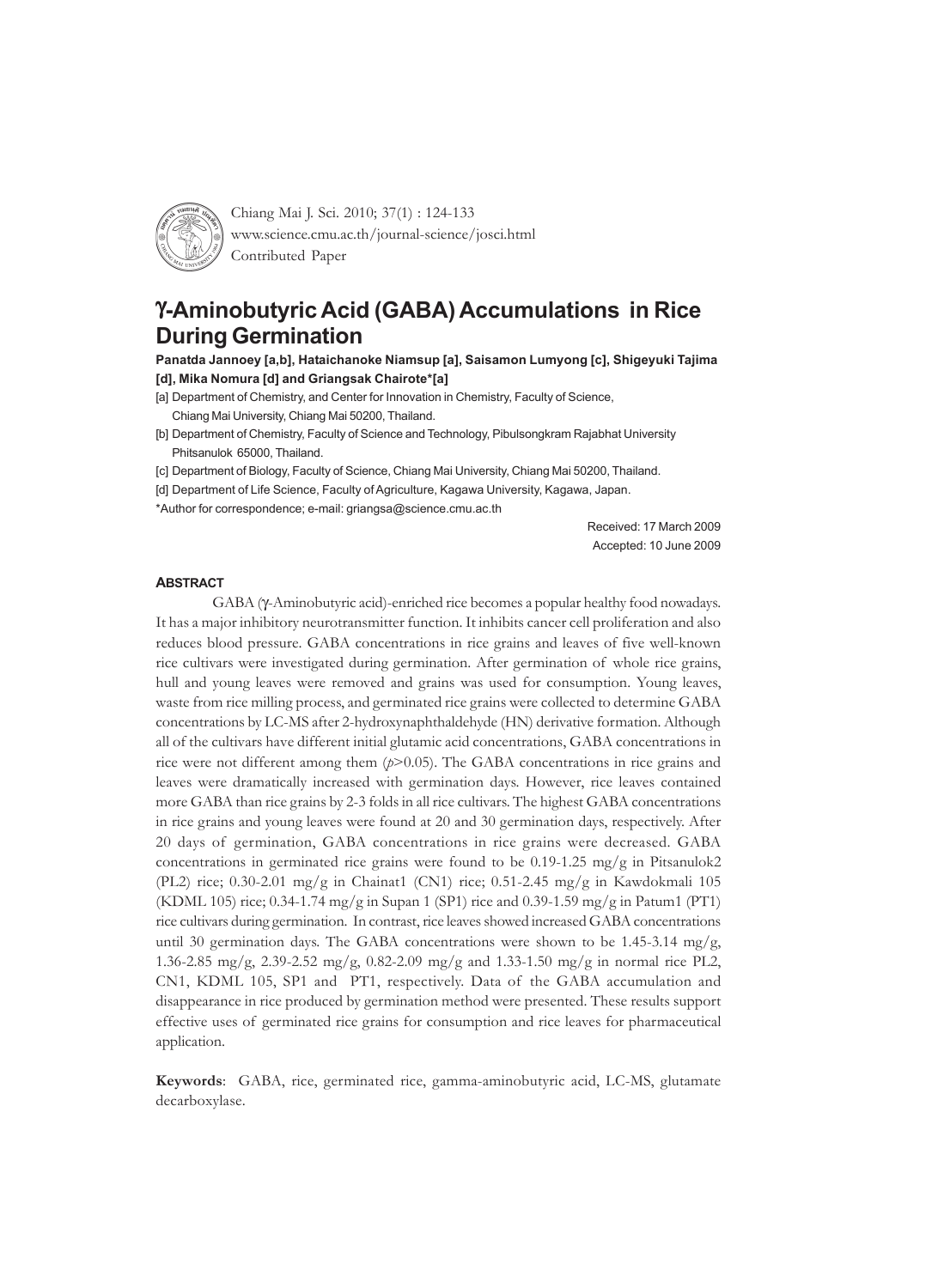

Chiang Mai J. Sci. 2010; 37(1) : 124-133 www.science.cmu.ac.th/journal-science/josci.html Contributed Paper

# γ**-Aminobutyric Acid (GABA) Accumulations in Rice During Germination**

**Panatda Jannoey [a,b], Hataichanoke Niamsup [a], Saisamon Lumyong [c], Shigeyuki Tajima [d], Mika Nomura [d] and Griangsak Chairote\*[a]**

- [a] Department of Chemistry, and Center for Innovation in Chemistry, Faculty of Science,
	- Chiang Mai University, Chiang Mai 50200, Thailand.
- [b] Department of Chemistry, Faculty of Science and Technology, Pibulsongkram Rajabhat University Phitsanulok 65000, Thailand.
- [c] Department of Biology, Faculty of Science, Chiang Mai University, Chiang Mai 50200, Thailand.
- [d] Department of Life Science, Faculty of Agriculture, Kagawa University, Kagawa, Japan.

\*Author for correspondence; e-mail: griangsa@science.cmu.ac.th

Received: 17 March 2009 Accepted: 10 June 2009

#### **ABSTRACT**

GABA (γ-Aminobutyric acid)-enriched rice becomes a popular healthy food nowadays. It has a major inhibitory neurotransmitter function. It inhibits cancer cell proliferation and also reduces blood pressure. GABA concentrations in rice grains and leaves of five well-known rice cultivars were investigated during germination. After germination of whole rice grains, hull and young leaves were removed and grains was used for consumption. Young leaves, waste from rice milling process, and germinated rice grains were collected to determine GABA concentrations by LC-MS after 2-hydroxynaphthaldehyde (HN) derivative formation. Although all of the cultivars have different initial glutamic acid concentrations, GABA concentrations in rice were not different among them (*p*>0.05). The GABA concentrations in rice grains and leaves were dramatically increased with germination days. However, rice leaves contained more GABA than rice grains by 2-3 folds in all rice cultivars. The highest GABA concentrations in rice grains and young leaves were found at 20 and 30 germination days, respectively. After 20 days of germination, GABA concentrations in rice grains were decreased. GABA concentrations in germinated rice grains were found to be  $0.19$ -1.25 mg/g in Pitsanulok2 (PL2) rice; 0.30-2.01 mg/g in Chainat1 (CN1) rice; 0.51-2.45 mg/g in Kawdokmali 105 (KDML 105) rice; 0.34-1.74 mg/g in Supan 1 (SP1) rice and 0.39-1.59 mg/g in Patum1 (PT1) rice cultivars during germination. In contrast, rice leaves showed increased GABA concentrations until 30 germination days. The GABA concentrations were shown to be 1.45-3.14 mg/g, 1.36-2.85 mg/g, 2.39-2.52 mg/g, 0.82-2.09 mg/g and 1.33-1.50 mg/g in normal rice PL2, CN1, KDML 105, SP1 and PT1, respectively. Data of the GABA accumulation and disappearance in rice produced by germination method were presented. These results support effective uses of germinated rice grains for consumption and rice leaves for pharmaceutical application.

**Keywords**: GABA, rice, germinated rice, gamma-aminobutyric acid, LC-MS, glutamate decarboxylase.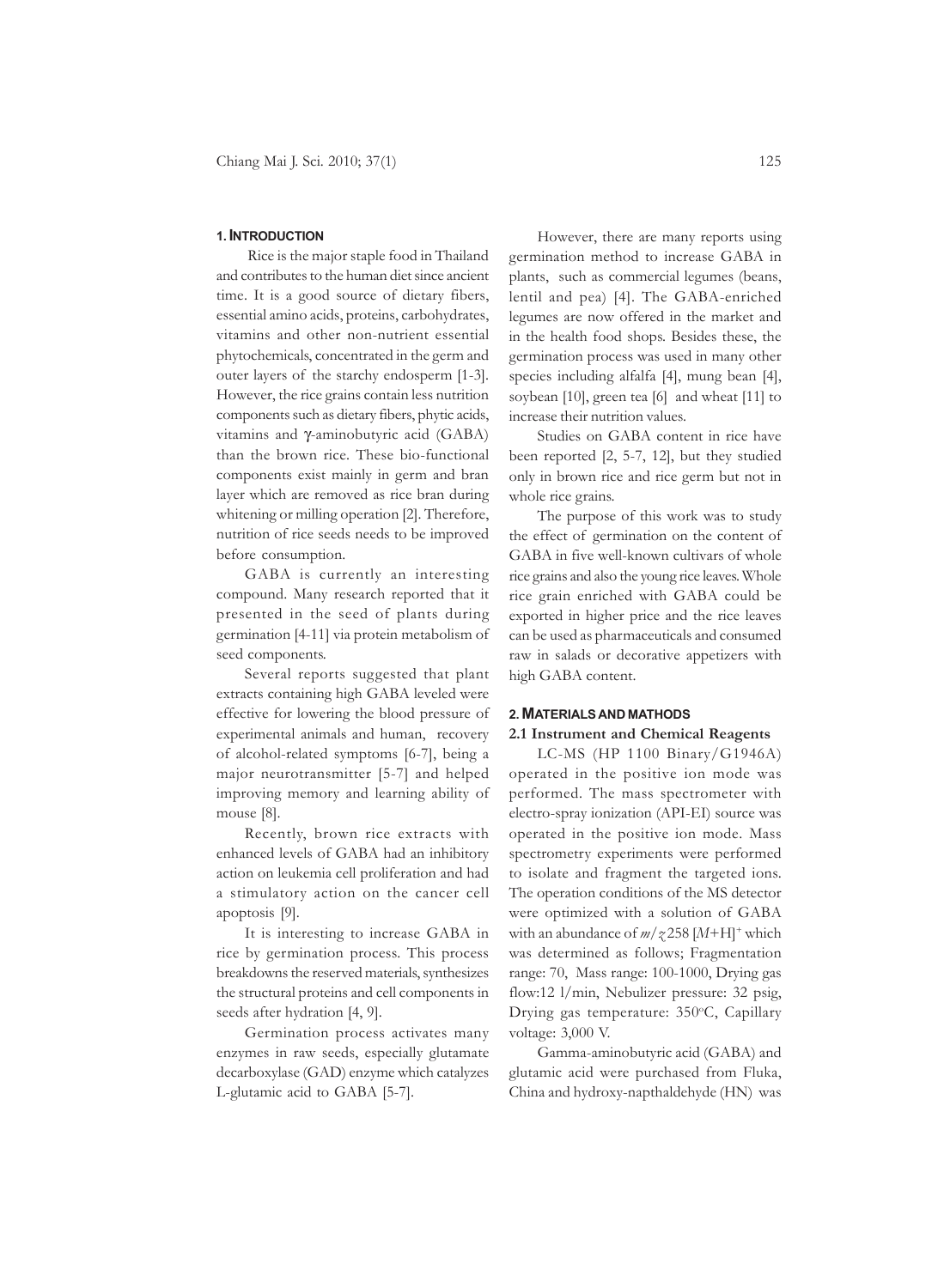#### **1. INTRODUCTION**

 Rice is the major staple food in Thailand and contributes to the human diet since ancient time. It is a good source of dietary fibers, essential amino acids, proteins, carbohydrates, vitamins and other non-nutrient essential phytochemicals, concentrated in the germ and outer layers of the starchy endosperm [1-3]. However, the rice grains contain less nutrition components such as dietary fibers, phytic acids, vitamins and γ-aminobutyric acid (GABA) than the brown rice. These bio-functional components exist mainly in germ and bran layer which are removed as rice bran during whitening or milling operation [2]. Therefore, nutrition of rice seeds needs to be improved before consumption.

GABA is currently an interesting compound. Many research reported that it presented in the seed of plants during germination [4-11] via protein metabolism of seed components.

Several reports suggested that plant extracts containing high GABA leveled were effective for lowering the blood pressure of experimental animals and human, recovery of alcohol-related symptoms [6-7], being a major neurotransmitter [5-7] and helped improving memory and learning ability of mouse [8].

Recently, brown rice extracts with enhanced levels of GABA had an inhibitory action on leukemia cell proliferation and had a stimulatory action on the cancer cell apoptosis [9].

It is interesting to increase GABA in rice by germination process. This process breakdowns the reserved materials, synthesizes the structural proteins and cell components in seeds after hydration [4, 9].

Germination process activates many enzymes in raw seeds, especially glutamate decarboxylase (GAD) enzyme which catalyzes L-glutamic acid to GABA [5-7].

However, there are many reports using germination method to increase GABA in plants, such as commercial legumes (beans, lentil and pea) [4]. The GABA-enriched legumes are now offered in the market and in the health food shops. Besides these, the germination process was used in many other species including alfalfa [4], mung bean [4], soybean [10], green tea [6] and wheat [11] to increase their nutrition values.

Studies on GABA content in rice have been reported [2, 5-7, 12], but they studied only in brown rice and rice germ but not in whole rice grains.

The purpose of this work was to study the effect of germination on the content of GABA in five well-known cultivars of whole rice grains and also the young rice leaves. Whole rice grain enriched with GABA could be exported in higher price and the rice leaves can be used as pharmaceuticals and consumed raw in salads or decorative appetizers with high GABA content.

### **2. MATERIALS AND MATHODS**

### **2.1 Instrument and Chemical Reagents**

LC-MS (HP 1100 Binary/G1946A) operated in the positive ion mode was performed. The mass spectrometer with electro-spray ionization (API-EI) source was operated in the positive ion mode. Mass spectrometry experiments were performed to isolate and fragment the targeted ions. The operation conditions of the MS detector were optimized with a solution of GABA with an abundance of *m*/*z* 258 [*M*+H]+ which was determined as follows; Fragmentation range: 70, Mass range: 100-1000, Drying gas flow:12 l/min, Nebulizer pressure: 32 psig, Drying gas temperature: 350°C, Capillary voltage: 3,000 V.

Gamma-aminobutyric acid (GABA) and glutamic acid were purchased from Fluka, China and hydroxy-napthaldehyde (HN) was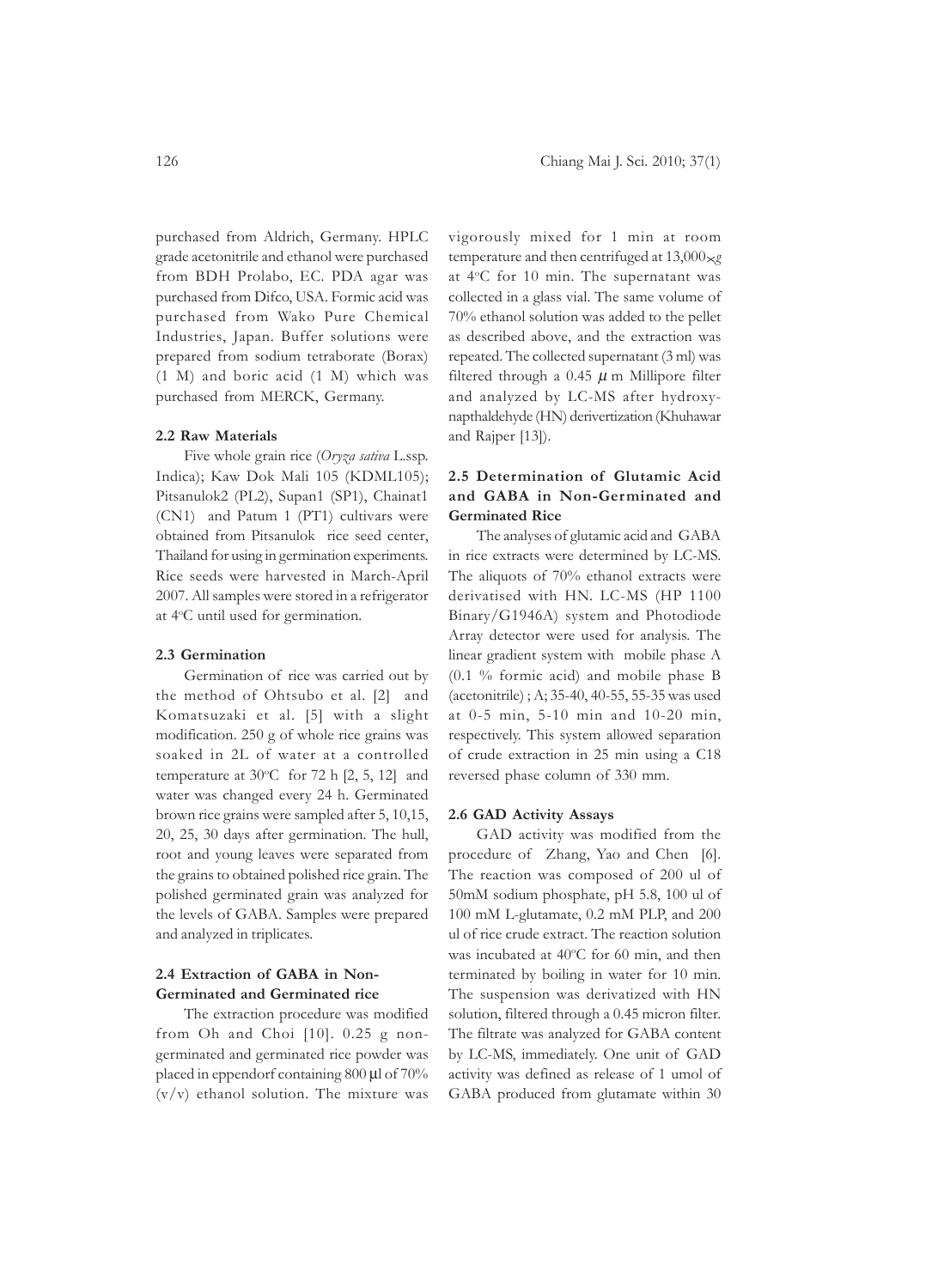purchased from Aldrich, Germany. HPLC grade acetonitrile and ethanol were purchased from BDH Prolabo, EC. PDA agar was purchased from Difco, USA. Formic acid was purchased from Wako Pure Chemical Industries, Japan. Buffer solutions were prepared from sodium tetraborate (Borax) (1 M) and boric acid (1 M) which was purchased from MERCK, Germany.

#### **2.2 Raw Materials**

Five whole grain rice (*Oryza sativa* L.ssp. Indica); Kaw Dok Mali 105 (KDML105); Pitsanulok2 (PL2), Supan1 (SP1), Chainat1 (CN1) and Patum 1 (PT1) cultivars were obtained from Pitsanulok rice seed center, Thailand for using in germination experiments. Rice seeds were harvested in March-April 2007. All samples were stored in a refrigerator at 4°C until used for germination.

# **2.3 Germination**

Germination of rice was carried out by the method of Ohtsubo et al. [2] and Komatsuzaki et al. [5] with a slight modification. 250 g of whole rice grains was soaked in 2L of water at a controlled temperature at  $30^{\circ}$ C for 72 h [2, 5, 12] and water was changed every 24 h. Germinated brown rice grains were sampled after 5, 10,15, 20, 25, 30 days after germination. The hull, root and young leaves were separated from the grains to obtained polished rice grain. The polished germinated grain was analyzed for the levels of GABA. Samples were prepared and analyzed in triplicates.

# **2.4 Extraction of GABA in Non-Germinated and Germinated rice**

The extraction procedure was modified from Oh and Choi [10]. 0.25 g nongerminated and germinated rice powder was placed in eppendorf containing 800 μl of 70% (v/v) ethanol solution. The mixture was

vigorously mixed for 1 min at room temperature and then centrifuged at  $13,000 \times g$ at 4°C for 10 min. The supernatant was collected in a glass vial. The same volume of 70% ethanol solution was added to the pellet as described above, and the extraction was repeated. The collected supernatant (3 ml) was filtered through a 0.45  $\mu$  m Millipore filter and analyzed by LC-MS after hydroxynapthaldehyde (HN) derivertization (Khuhawar and Rajper [13]).

# **2.5 Determination of Glutamic Acid and GABA in Non-Germinated and Germinated Rice**

The analyses of glutamic acid and GABA in rice extracts were determined by LC-MS. The aliquots of 70% ethanol extracts were derivatised with HN. LC-MS (HP 1100 Binary/G1946A) system and Photodiode Array detector were used for analysis. The linear gradient system with mobile phase A (0.1 % formic acid) and mobile phase B (acetonitrile) ; A; 35-40, 40-55, 55-35 was used at 0-5 min, 5-10 min and 10-20 min, respectively. This system allowed separation of crude extraction in 25 min using a C18 reversed phase column of 330 mm.

#### **2.6 GAD Activity Assays**

GAD activity was modified from the procedure of Zhang, Yao and Chen [6]. The reaction was composed of 200 ul of 50mM sodium phosphate, pH 5.8, 100 ul of 100 mM L-glutamate, 0.2 mM PLP, and 200 ul of rice crude extract. The reaction solution was incubated at 40°C for 60 min, and then terminated by boiling in water for 10 min. The suspension was derivatized with HN solution, filtered through a 0.45 micron filter. The filtrate was analyzed for GABA content by LC-MS, immediately. One unit of GAD activity was defined as release of 1 umol of GABA produced from glutamate within 30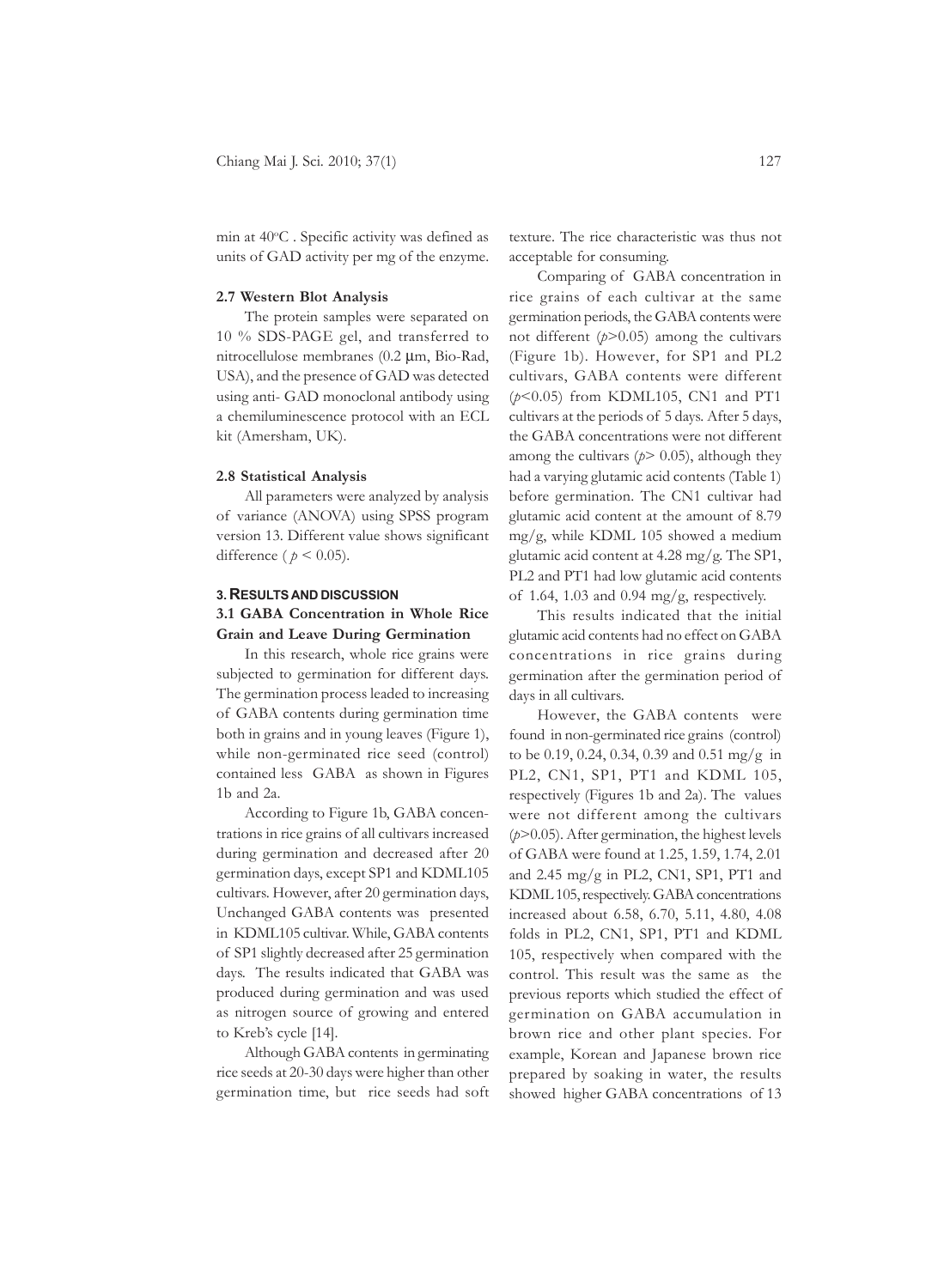min at 40°C. Specific activity was defined as units of GAD activity per mg of the enzyme.

#### **2.7 Western Blot Analysis**

The protein samples were separated on 10 % SDS-PAGE gel, and transferred to nitrocellulose membranes (0.2 μm, Bio-Rad, USA), and the presence of GAD was detected using anti- GAD monoclonal antibody using a chemiluminescence protocol with an ECL kit (Amersham, UK).

#### **2.8 Statistical Analysis**

All parameters were analyzed by analysis of variance (ANOVA) using SPSS program version 13. Different value shows significant difference ( $p < 0.05$ ).

#### **3. RESULTS AND DISCUSSION**

# **3.1 GABA Concentration in Whole Rice Grain and Leave During Germination**

In this research, whole rice grains were subjected to germination for different days. The germination process leaded to increasing of GABA contents during germination time both in grains and in young leaves (Figure 1), while non-germinated rice seed (control) contained less GABA as shown in Figures 1b and 2a.

According to Figure 1b, GABA concentrations in rice grains of all cultivars increased during germination and decreased after 20 germination days, except SP1 and KDML105 cultivars. However, after 20 germination days, Unchanged GABA contents was presented in KDML105 cultivar. While, GABA contents of SP1 slightly decreased after 25 germination days. The results indicated that GABA was produced during germination and was used as nitrogen source of growing and entered to Kreb's cycle [14].

Although GABA contents in germinating rice seeds at 20-30 days were higher than other germination time, but rice seeds had soft texture. The rice characteristic was thus not acceptable for consuming.

Comparing of GABA concentration in rice grains of each cultivar at the same germination periods, the GABA contents were not different (*p*>0.05) among the cultivars (Figure 1b). However, for SP1 and PL2 cultivars, GABA contents were different (*p*<0.05) from KDML105, CN1 and PT1 cultivars at the periods of 5 days. After 5 days, the GABA concentrations were not different among the cultivars  $(p > 0.05)$ , although they had a varying glutamic acid contents (Table 1) before germination. The CN1 cultivar had glutamic acid content at the amount of 8.79 mg/g, while KDML 105 showed a medium glutamic acid content at 4.28 mg/g. The SP1, PL2 and PT1 had low glutamic acid contents of 1.64, 1.03 and 0.94 mg/g, respectively.

This results indicated that the initial glutamic acid contents had no effect on GABA concentrations in rice grains during germination after the germination period of days in all cultivars.

However, the GABA contents were found in non-germinated rice grains (control) to be 0.19, 0.24, 0.34, 0.39 and 0.51 mg/g in PL2, CN1, SP1, PT1 and KDML 105, respectively (Figures 1b and 2a). The values were not different among the cultivars (*p*>0.05). After germination, the highest levels of GABA were found at 1.25, 1.59, 1.74, 2.01 and 2.45 mg/g in PL2, CN1, SP1, PT1 and KDML 105, respectively. GABA concentrations increased about 6.58, 6.70, 5.11, 4.80, 4.08 folds in PL2, CN1, SP1, PT1 and KDML 105, respectively when compared with the control. This result was the same as the previous reports which studied the effect of germination on GABA accumulation in brown rice and other plant species. For example, Korean and Japanese brown rice prepared by soaking in water, the results showed higher GABA concentrations of 13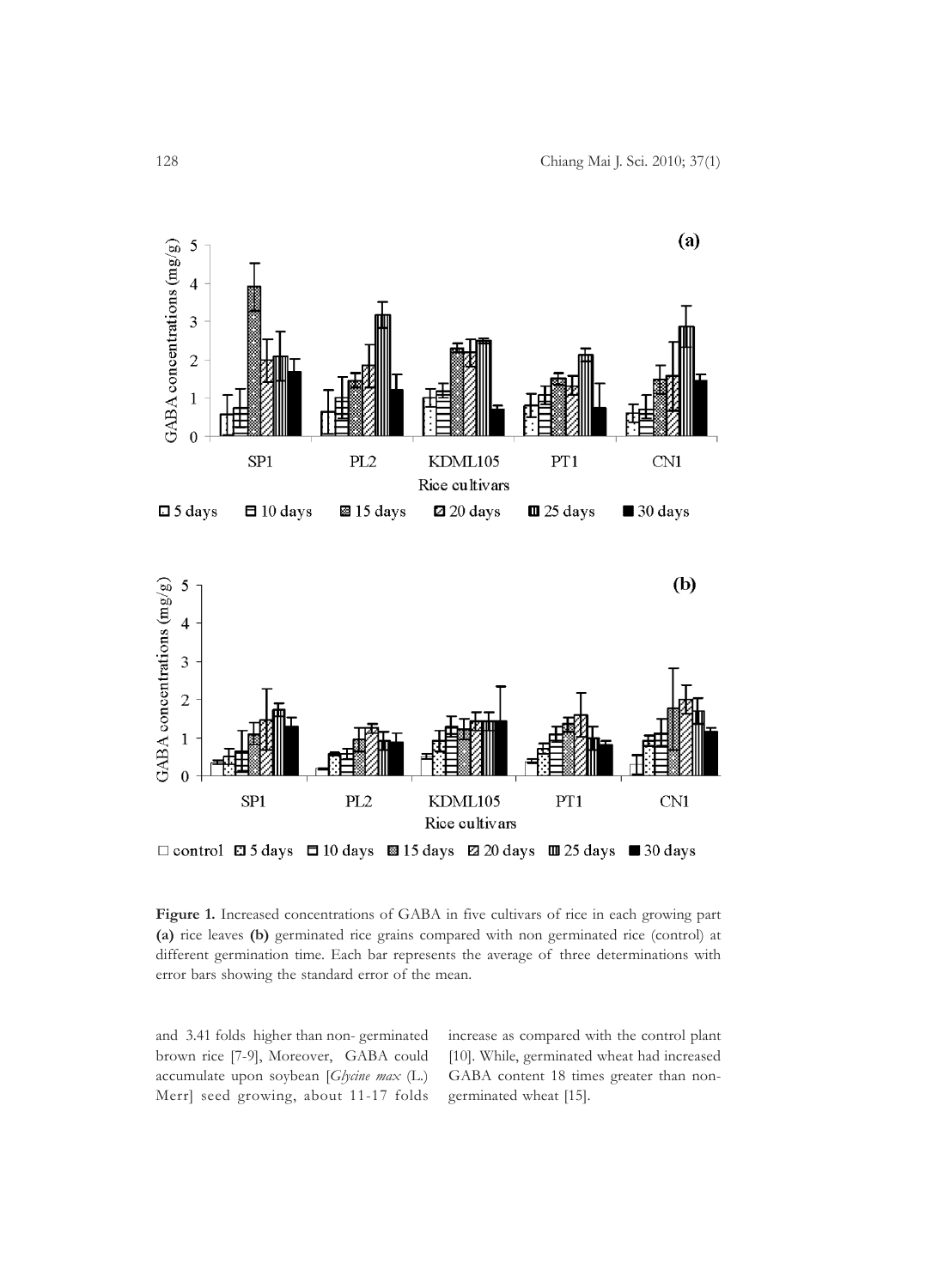

 $\Box$  control  $\Box$  5 days  $\Box$  10 days  $\boxtimes$  15 days  $\Box$  20 days  $\Box$  25 days  $\Box$  30 days

**Figure 1.** Increased concentrations of GABA in five cultivars of rice in each growing part **(a)** rice leaves **(b)** germinated rice grains compared with non germinated rice (control) at different germination time. Each bar represents the average of three determinations with error bars showing the standard error of the mean.

and 3.41 folds higher than non- germinated brown rice [7-9], Moreover, GABA could accumulate upon soybean [*Glycine max* (L.) Merr] seed growing, about 11-17 folds increase as compared with the control plant [10]. While, germinated wheat had increased GABA content 18 times greater than nongerminated wheat [15].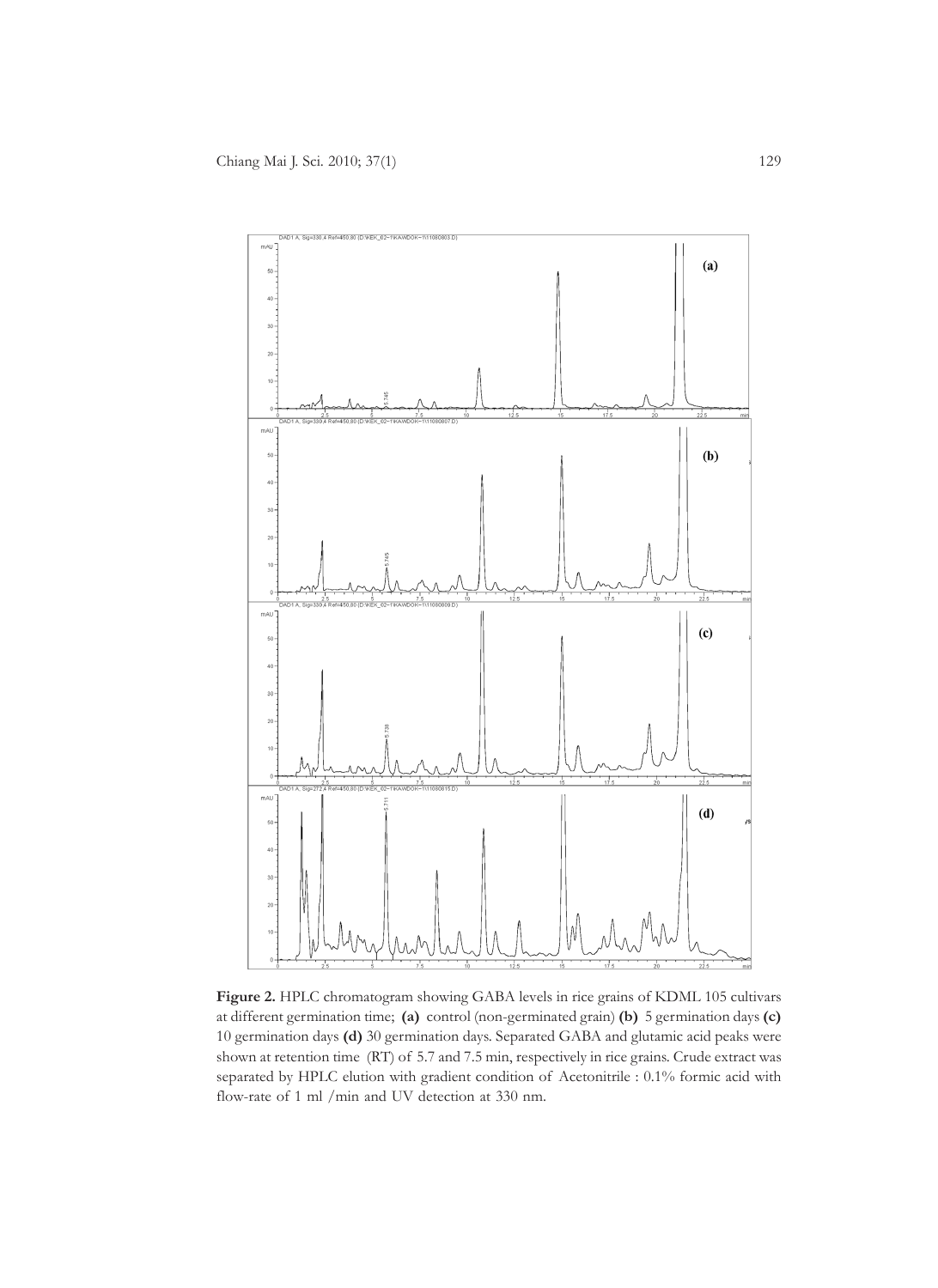

**Figure 2.** HPLC chromatogram showing GABA levels in rice grains of KDML 105 cultivars at different germination time; **(a)** control (non-germinated grain) **(b)** 5 germination days **(c)** 10 germination days **(d)** 30 germination days. Separated GABA and glutamic acid peaks were shown at retention time (RT) of 5.7 and 7.5 min, respectively in rice grains. Crude extract was separated by HPLC elution with gradient condition of Acetonitrile : 0.1% formic acid with flow-rate of 1 ml /min and UV detection at 330 nm.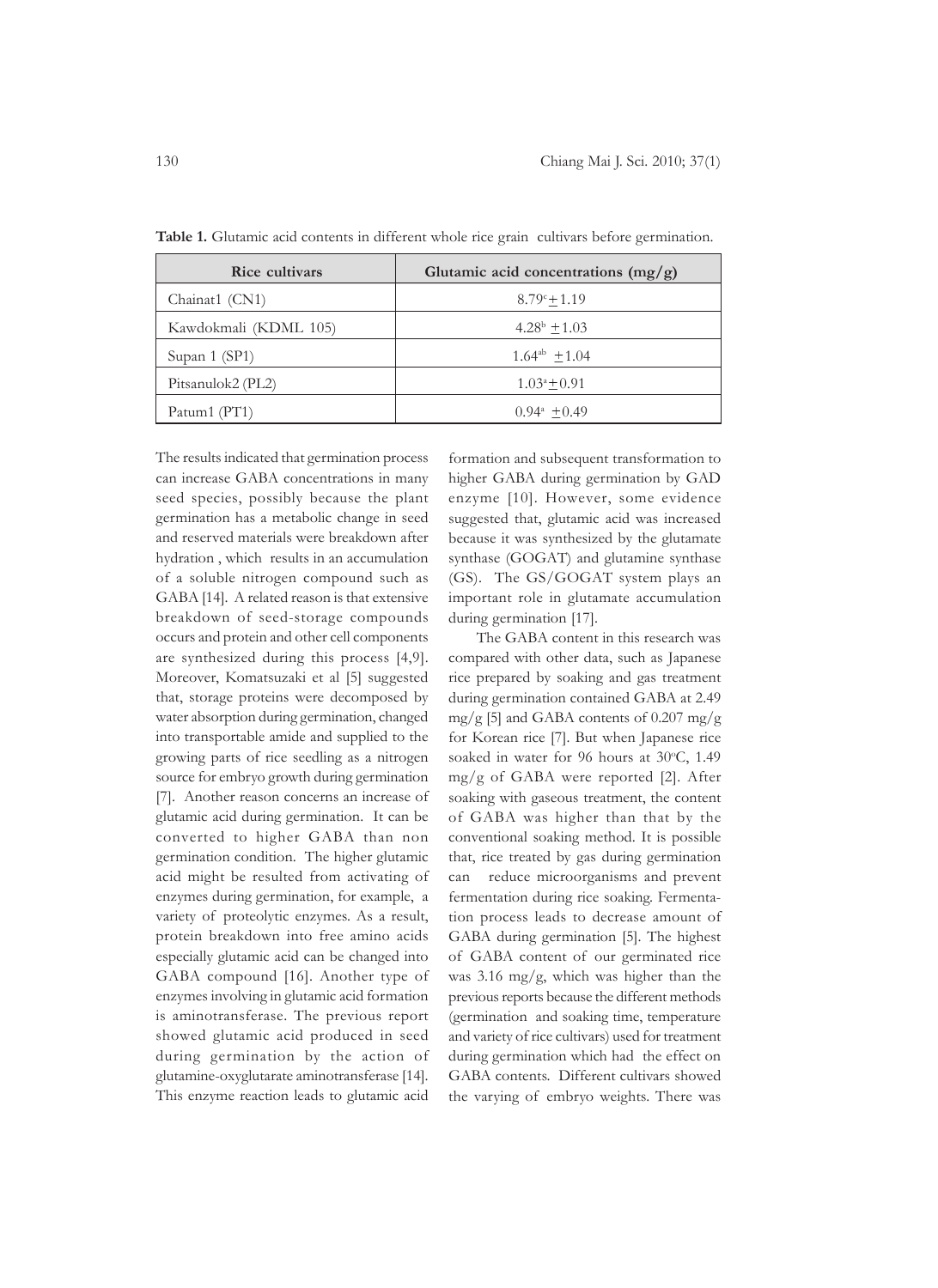| Rice cultivars        | Glutamic acid concentrations $(mg/g)$ |
|-----------------------|---------------------------------------|
| Chainat1 (CN1)        | $8.79^{\circ}+1.19$                   |
| Kawdokmali (KDML 105) | $4.28^{\rm b} + 1.03$                 |
| Supan 1 (SP1)         | $1.64^{ab}$ + 1.04                    |
| Pitsanulok2 (PL2)     | $1.03^a + 0.91$                       |
| Patum1 (PT1)          | $0.94^{\mathrm{a}}$ + 0.49            |

Table 1. Glutamic acid contents in different whole rice grain cultivars before germination.

The results indicated that germination process can increase GABA concentrations in many seed species, possibly because the plant germination has a metabolic change in seed and reserved materials were breakdown after hydration , which results in an accumulation of a soluble nitrogen compound such as GABA [14]. A related reason is that extensive breakdown of seed-storage compounds occurs and protein and other cell components are synthesized during this process [4,9]. Moreover, Komatsuzaki et al [5] suggested that, storage proteins were decomposed by water absorption during germination, changed into transportable amide and supplied to the growing parts of rice seedling as a nitrogen source for embryo growth during germination [7]. Another reason concerns an increase of glutamic acid during germination. It can be converted to higher GABA than non germination condition. The higher glutamic acid might be resulted from activating of enzymes during germination, for example, a variety of proteolytic enzymes. As a result, protein breakdown into free amino acids especially glutamic acid can be changed into GABA compound [16]. Another type of enzymes involving in glutamic acid formation is aminotransferase. The previous report showed glutamic acid produced in seed during germination by the action of glutamine-oxyglutarate aminotransferase [14]. This enzyme reaction leads to glutamic acid

formation and subsequent transformation to higher GABA during germination by GAD enzyme [10]. However, some evidence suggested that, glutamic acid was increased because it was synthesized by the glutamate synthase (GOGAT) and glutamine synthase (GS). The GS/GOGAT system plays an important role in glutamate accumulation during germination [17].

The GABA content in this research was compared with other data, such as Japanese rice prepared by soaking and gas treatment during germination contained GABA at 2.49 mg/g [5] and GABA contents of  $0.207$  mg/g for Korean rice [7]. But when Japanese rice soaked in water for 96 hours at 30°C, 1.49 mg/g of GABA were reported [2]. After soaking with gaseous treatment, the content of GABA was higher than that by the conventional soaking method. It is possible that, rice treated by gas during germination can reduce microorganisms and prevent fermentation during rice soaking. Fermentation process leads to decrease amount of GABA during germination [5]. The highest of GABA content of our germinated rice was 3.16 mg/g, which was higher than the previous reports because the different methods (germination and soaking time, temperature and variety of rice cultivars) used for treatment during germination which had the effect on GABA contents. Different cultivars showed the varying of embryo weights. There was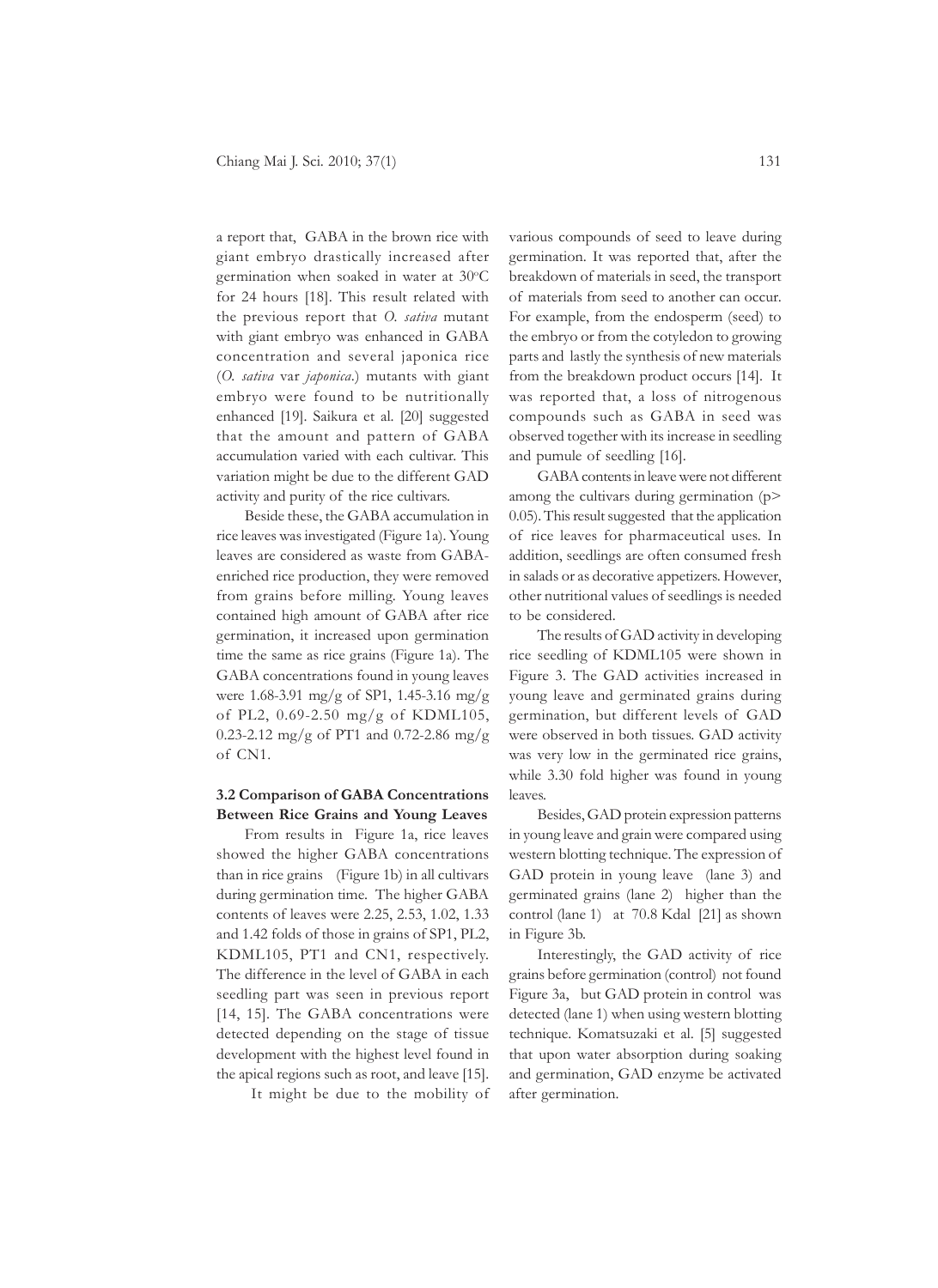a report that, GABA in the brown rice with giant embryo drastically increased after germination when soaked in water at 30°C for 24 hours [18]. This result related with the previous report that *O. sativa* mutant with giant embryo was enhanced in GABA concentration and several japonica rice (*O. sativa* var *japonica*.) mutants with giant embryo were found to be nutritionally enhanced [19]. Saikura et al. [20] suggested that the amount and pattern of GABA accumulation varied with each cultivar. This variation might be due to the different GAD activity and purity of the rice cultivars.

Beside these, the GABA accumulation in rice leaves was investigated (Figure 1a). Young leaves are considered as waste from GABAenriched rice production, they were removed from grains before milling. Young leaves contained high amount of GABA after rice germination, it increased upon germination time the same as rice grains (Figure 1a). The GABA concentrations found in young leaves were 1.68-3.91 mg/g of SP1, 1.45-3.16 mg/g of PL2, 0.69-2.50 mg/g of KDML105, 0.23-2.12 mg/g of PT1 and 0.72-2.86 mg/g of CN1.

# **3.2 Comparison of GABA Concentrations Between Rice Grains and Young Leaves**

From results in Figure 1a, rice leaves showed the higher GABA concentrations than in rice grains (Figure 1b) in all cultivars during germination time. The higher GABA contents of leaves were 2.25, 2.53, 1.02, 1.33 and 1.42 folds of those in grains of SP1, PL2, KDML105, PT1 and CN1, respectively. The difference in the level of GABA in each seedling part was seen in previous report [14, 15]. The GABA concentrations were detected depending on the stage of tissue development with the highest level found in the apical regions such as root, and leave [15].

It might be due to the mobility of

various compounds of seed to leave during germination. It was reported that, after the breakdown of materials in seed, the transport of materials from seed to another can occur. For example, from the endosperm (seed) to the embryo or from the cotyledon to growing parts and lastly the synthesis of new materials from the breakdown product occurs [14]. It was reported that, a loss of nitrogenous compounds such as GABA in seed was observed together with its increase in seedling and pumule of seedling [16].

GABA contents in leave were not different among the cultivars during germination (p> 0.05). This result suggested that the application of rice leaves for pharmaceutical uses. In addition, seedlings are often consumed fresh in salads or as decorative appetizers. However, other nutritional values of seedlings is needed to be considered.

The results of GAD activity in developing rice seedling of KDML105 were shown in Figure 3. The GAD activities increased in young leave and germinated grains during germination, but different levels of GAD were observed in both tissues. GAD activity was very low in the germinated rice grains, while 3.30 fold higher was found in young leaves.

Besides, GAD protein expression patterns in young leave and grain were compared using western blotting technique. The expression of GAD protein in young leave (lane 3) and germinated grains (lane 2) higher than the control (lane 1) at 70.8 Kdal [21] as shown in Figure 3b.

Interestingly, the GAD activity of rice grains before germination (control) not found Figure 3a, but GAD protein in control was detected (lane 1) when using western blotting technique. Komatsuzaki et al. [5] suggested that upon water absorption during soaking and germination, GAD enzyme be activated after germination.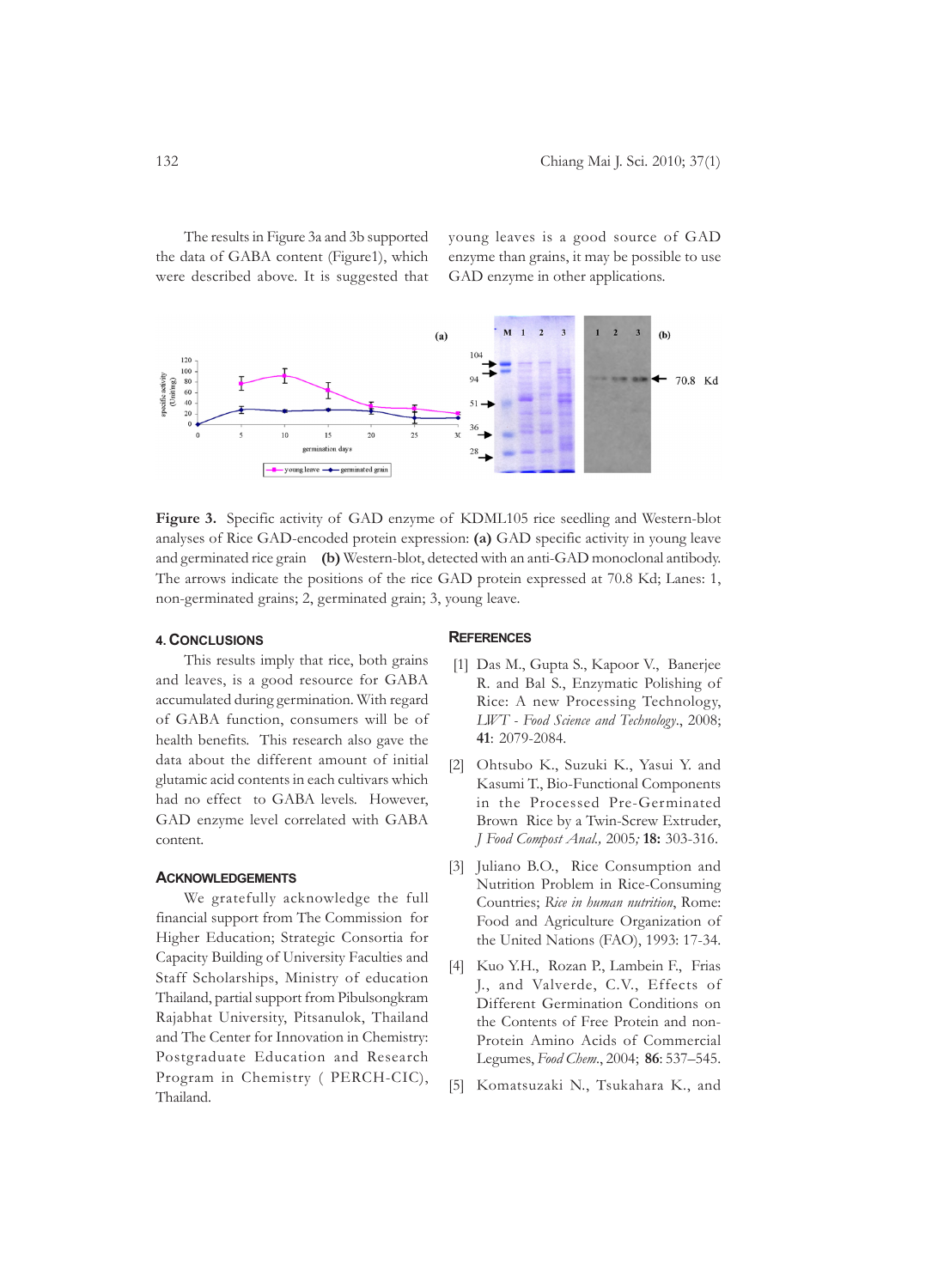The results in Figure 3a and 3b supported the data of GABA content (Figure1), which were described above. It is suggested that

young leaves is a good source of GAD enzyme than grains, it may be possible to use GAD enzyme in other applications.



**Figure 3.** Specific activity of GAD enzyme of KDML105 rice seedling and Western-blot analyses of Rice GAD-encoded protein expression: **(a)** GAD specific activity in young leave and germinated rice grain **(b)** Western-blot, detected with an anti-GAD monoclonal antibody. The arrows indicate the positions of the rice GAD protein expressed at 70.8 Kd; Lanes: 1, non-germinated grains; 2, germinated grain; 3, young leave.

# **4. CONCLUSIONS**

# **REFERENCES**

This results imply that rice, both grains and leaves, is a good resource for GABA accumulated during germination. With regard of GABA function, consumers will be of health benefits. This research also gave the data about the different amount of initial glutamic acid contents in each cultivars which had no effect to GABA levels. However, GAD enzyme level correlated with GABA content.

# **ACKNOWLEDGEMENTS**

We gratefully acknowledge the full financial support from The Commission for Higher Education; Strategic Consortia for Capacity Building of University Faculties and Staff Scholarships, Ministry of education Thailand, partial support from Pibulsongkram Rajabhat University, Pitsanulok, Thailand and The Center for Innovation in Chemistry: Postgraduate Education and Research Program in Chemistry ( PERCH-CIC), Thailand.

- [1] Das M., Gupta S., Kapoor V., Banerjee R. and Bal S., Enzymatic Polishing of Rice: A new Processing Technology, *LWT - Food Science and Technology*., 2008; **41**: 2079-2084.
- [2] Ohtsubo K., Suzuki K., Yasui Y. and Kasumi T., Bio-Functional Components in the Processed Pre-Germinated Brown Rice by a Twin-Screw Extruder, *J Food Compost Anal.,* 2005*;* **18:** 303-316.
- [3] Juliano B.O., Rice Consumption and Nutrition Problem in Rice-Consuming Countries; *Rice in human nutrition*, Rome: Food and Agriculture Organization of the United Nations (FAO), 1993: 17-34.
- [4] Kuo Y.H., Rozan P., Lambein F., Frias J., and Valverde, C.V., Effects of Different Germination Conditions on the Contents of Free Protein and non-Protein Amino Acids of Commercial Legumes, *Food Chem*., 2004; **86**: 537–545.
- [5] Komatsuzaki N., Tsukahara K., and